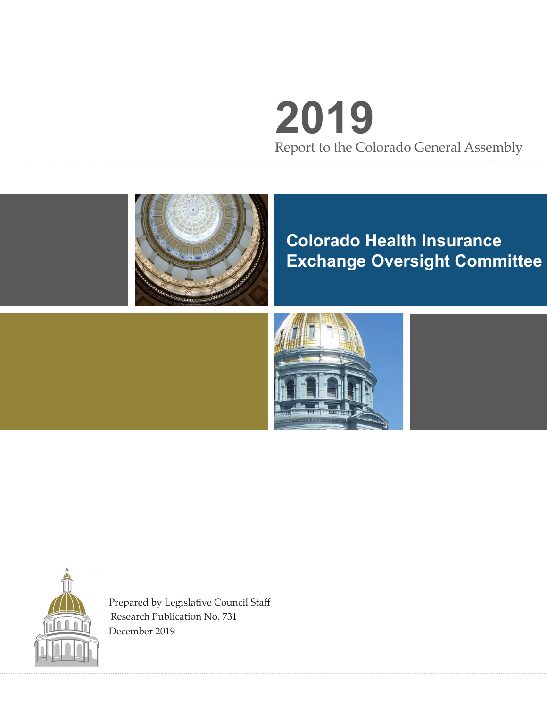# **2019** Report to the Colorado General Assembly



## **Colorado Health Insurance Exchange Oversight Committee**





Prepared by Legislative Council Staff Research Publication No. 731 December 2019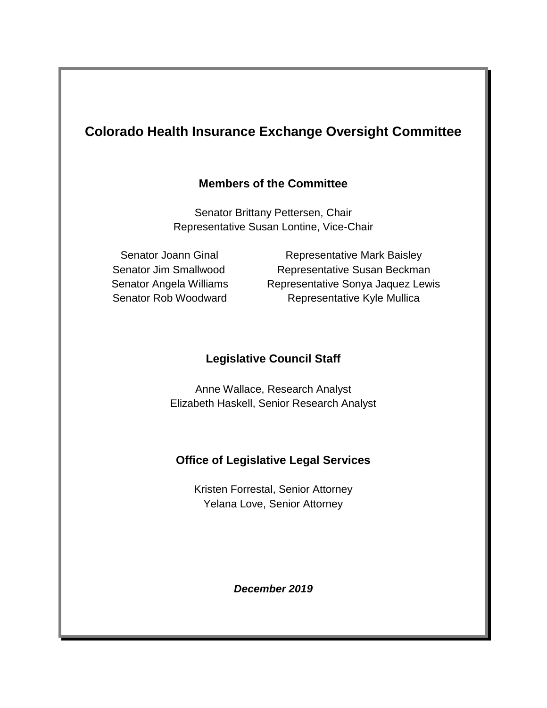### **Colorado Health Insurance Exchange Oversight Committee**

#### **Members of the Committee**

Senator Brittany Pettersen, Chair Representative Susan Lontine, Vice-Chair

Senator Joann Ginal **Representative Mark Baisley** Senator Jim Smallwood Representative Susan Beckman Senator Angela Williams Representative Sonya Jaquez Lewis Senator Rob Woodward Representative Kyle Mullica

#### **Legislative Council Staff**

Anne Wallace, Research Analyst Elizabeth Haskell, Senior Research Analyst

#### **Office of Legislative Legal Services**

Kristen Forrestal, Senior Attorney Yelana Love, Senior Attorney

*December 2019*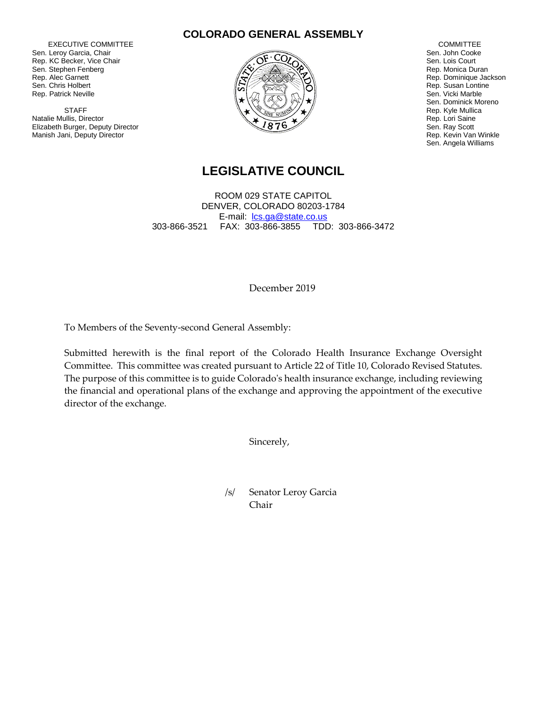EXECUTIVE COMMITTEE Sen. Leroy Garcia, Chair Rep. KC Becker, Vice Chair Sen. Stephen Fenberg Rep. Alec Garnett Sen. Chris Holbert Rep. Patrick Neville

**STAFF** Natalie Mullis, Director Elizabeth Burger, Deputy Director Manish Jani, Deputy Director





 COMMITTEE Sen. John Cooke Sen. Lois Court Rep. Monica Duran Rep. Dominique Jackson Rep. Susan Lontine Sen. Vicki Marble Sen. Dominick Moreno Rep. Kyle Mullica Rep. Lori Saine Sen. Ray Scott Rep. Kevin Van Winkle Sen. Angela Williams

#### **LEGISLATIVE COUNCIL**

ROOM 029 STATE CAPITOL DENVER, COLORADO 80203-1784 E-mail: [lcs.ga@state.co.us](mailto:lcs.ga@state.co.us) 303-866-3521 FAX: 303-866-3855 TDD: 303-866-3472

December 2019

To Members of the Seventy-second General Assembly:

Submitted herewith is the final report of the Colorado Health Insurance Exchange Oversight Committee. This committee was created pursuant to Article 22 of Title 10, Colorado Revised Statutes. The purpose of this committee is to guide Colorado's health insurance exchange, including reviewing the financial and operational plans of the exchange and approving the appointment of the executive director of the exchange.

Sincerely,

/s/ Senator Leroy Garcia Chair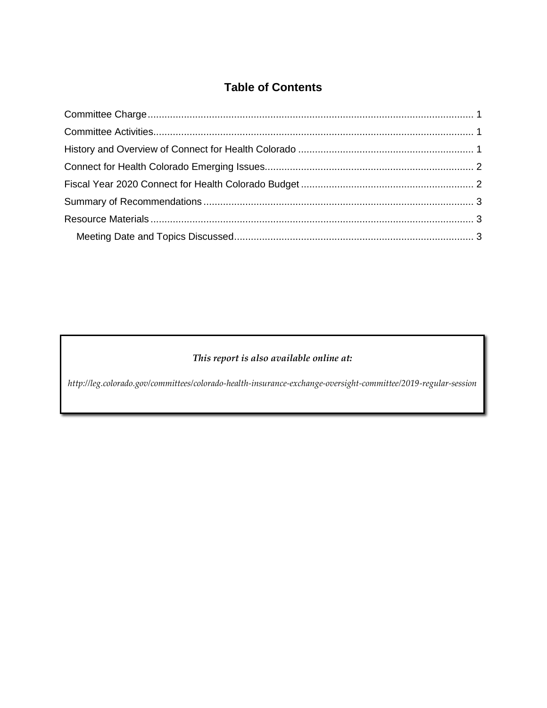#### **Table of Contents**

#### *This report is also available online at:*

*http://leg.colorado.gov/committees/colorado-health-insurance-exchange-oversight-committee/2019-regular-session*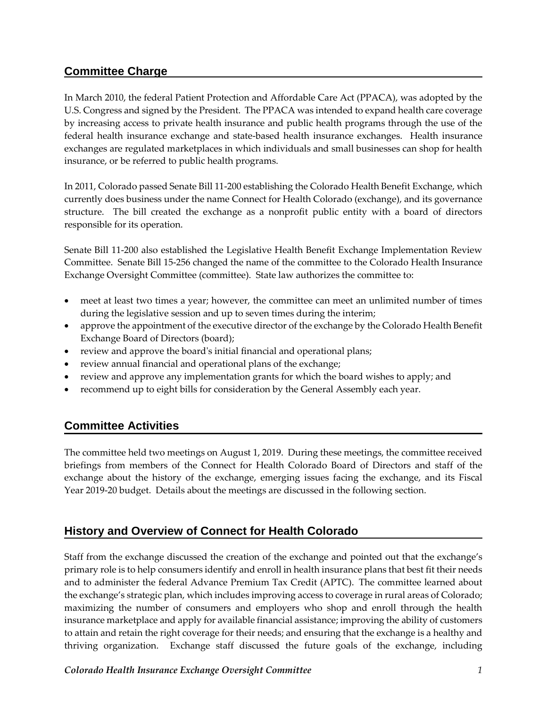#### <span id="page-4-0"></span>**Committee Charge**

In March 2010, the federal Patient Protection and Affordable Care Act (PPACA), was adopted by the U.S. Congress and signed by the President. The PPACA was intended to expand health care coverage by increasing access to private health insurance and public health programs through the use of the federal health insurance exchange and state-based health insurance exchanges. Health insurance exchanges are regulated marketplaces in which individuals and small businesses can shop for health insurance, or be referred to public health programs.

In 2011, Colorado passed Senate Bill 11-200 establishing the Colorado Health Benefit Exchange, which currently does business under the name Connect for Health Colorado (exchange), and its governance structure. The bill created the exchange as a nonprofit public entity with a board of directors responsible for its operation.

Senate Bill 11-200 also established the Legislative Health Benefit Exchange Implementation Review Committee. Senate Bill 15-256 changed the name of the committee to the Colorado Health Insurance Exchange Oversight Committee (committee). State law authorizes the committee to:

- meet at least two times a year; however, the committee can meet an unlimited number of times during the legislative session and up to seven times during the interim;
- approve the appointment of the executive director of the exchange by the Colorado Health Benefit Exchange Board of Directors (board);
- review and approve the board's initial financial and operational plans;
- review annual financial and operational plans of the exchange;
- review and approve any implementation grants for which the board wishes to apply; and
- recommend up to eight bills for consideration by the General Assembly each year.

#### <span id="page-4-1"></span>**Committee Activities**

The committee held two meetings on August 1, 2019. During these meetings, the committee received briefings from members of the Connect for Health Colorado Board of Directors and staff of the exchange about the history of the exchange, emerging issues facing the exchange, and its Fiscal Year 2019-20 budget. Details about the meetings are discussed in the following section.

#### <span id="page-4-2"></span>**History and Overview of Connect for Health Colorado**

Staff from the exchange discussed the creation of the exchange and pointed out that the exchange's primary role is to help consumers identify and enroll in health insurance plans that best fit their needs and to administer the federal Advance Premium Tax Credit (APTC). The committee learned about the exchange's strategic plan, which includes improving access to coverage in rural areas of Colorado; maximizing the number of consumers and employers who shop and enroll through the health insurance marketplace and apply for available financial assistance; improving the ability of customers to attain and retain the right coverage for their needs; and ensuring that the exchange is a healthy and thriving organization. Exchange staff discussed the future goals of the exchange, including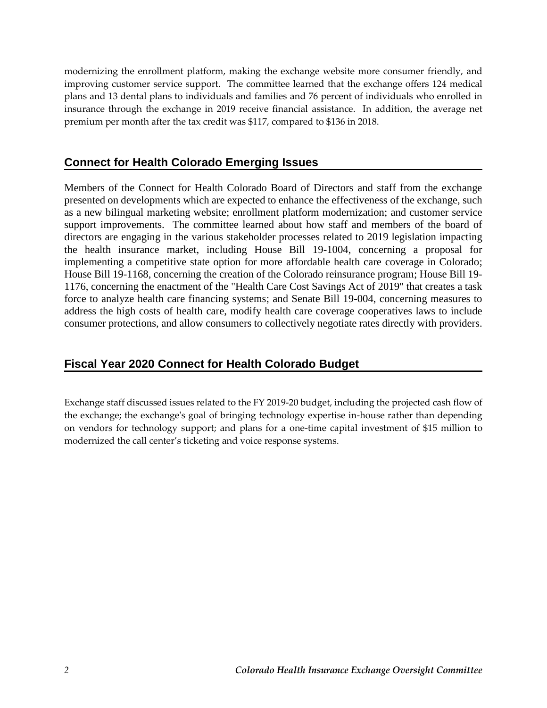modernizing the enrollment platform, making the exchange website more consumer friendly, and improving customer service support. The committee learned that the exchange offers 124 medical plans and 13 dental plans to individuals and families and 76 percent of individuals who enrolled in insurance through the exchange in 2019 receive financial assistance. In addition, the average net premium per month after the tax credit was \$117, compared to \$136 in 2018.

#### <span id="page-5-0"></span>**Connect for Health Colorado Emerging Issues**

Members of the Connect for Health Colorado Board of Directors and staff from the exchange presented on developments which are expected to enhance the effectiveness of the exchange, such as a new bilingual marketing website; enrollment platform modernization; and customer service support improvements. The committee learned about how staff and members of the board of directors are engaging in the various stakeholder processes related to 2019 legislation impacting the health insurance market, including House Bill 19-1004, concerning a proposal for implementing a competitive state option for more affordable health care coverage in Colorado; House Bill 19-1168, concerning the creation of the Colorado reinsurance program; House Bill 19- 1176, concerning the enactment of the "Health Care Cost Savings Act of 2019" that creates a task force to analyze health care financing systems; and Senate Bill 19-004, concerning measures to address the high costs of health care, modify health care coverage cooperatives laws to include consumer protections, and allow consumers to collectively negotiate rates directly with providers.

#### <span id="page-5-1"></span>**Fiscal Year 2020 Connect for Health Colorado Budget**

Exchange staff discussed issues related to the FY 2019-20 budget, including the projected cash flow of the exchange; the exchange's goal of bringing technology expertise in-house rather than depending on vendors for technology support; and plans for a one-time capital investment of \$15 million to modernized the call center's ticketing and voice response systems.